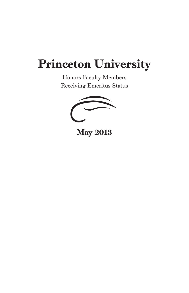## Princeton University

Honors Faculty Members Receiving Emeritus Status

May 2013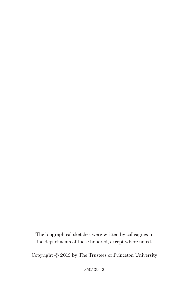The biographical sketches were written by colleagues in the departments of those honored, except where noted.

Copyright © 2013 by The Trustees of Princeton University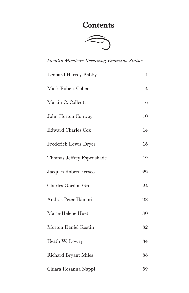## **Contents**



*Faculty Members Receiving Emeritus Status*

| <b>Leonard Harvey Babby</b> | 1  |
|-----------------------------|----|
| Mark Robert Cohen           | 4  |
| Martin C. Collcutt          | 6  |
| John Horton Conway          | 10 |
| <b>Edward Charles Cox</b>   | 14 |
| Frederick Lewis Dryer       | 16 |
| Thomas Jeffrey Espenshade   | 19 |
| Jacques Robert Fresco       | 22 |
| <b>Charles Gordon Gross</b> | 24 |
| András Peter Hámori         | 28 |
| Marie-Hélène Huet           | 30 |
| Morton Daniel Kostin        | 32 |
| Heath W. Lowry              | 34 |
| <b>Richard Bryant Miles</b> | 36 |
| Chiara Rosanna Nappi        | 39 |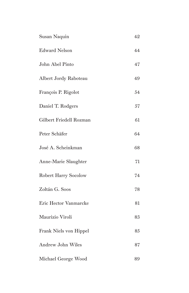| Susan Naquin                | 42 |
|-----------------------------|----|
| <b>Edward Nelson</b>        | 44 |
| John Abel Pinto             | 47 |
| Albert Jordy Raboteau       | 49 |
| François P. Rigolot         | 54 |
| Daniel T. Rodgers           | 57 |
| Gilbert Friedell Rozman     | 61 |
| Peter Schäfer               | 64 |
| José A. Scheinkman          | 68 |
| Anne-Marie Slaughter        | 71 |
| <b>Robert Harry Socolow</b> | 74 |
| Zoltán G. Soos              | 78 |
| Eric Hector Vanmarcke       | 81 |
| Maurizio Viroli             | 83 |
| Frank Niels von Hippel      | 85 |
| Andrew John Wiles           | 87 |
| Michael George Wood         | 89 |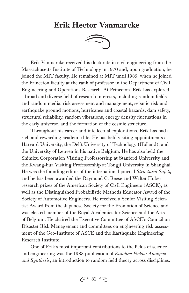## Erik Hector Vanmarcke



Erik Vanmarcke received his doctorate in civil engineering from the Massachusetts Institute of Technology in 1970 and, upon graduation, he joined the MIT faculty. He remained at MIT until 1985, when he joined the Princeton faculty at the rank of professor in the Department of Civil Engineering and Operations Research. At Princeton, Erik has explored a broad and diverse field of research interests, including random fields and random media, risk assessment and management, seismic risk and earthquake ground motions, hurricanes and coastal hazards, dam safety, structural reliability, random vibrations, energy density fluctuations in the early universe, and the formation of the cosmic structure.

Throughout his career and intellectual explorations, Erik has had a rich and rewarding academic life. He has held visiting appointments at Harvard University, the Delft University of Technology (Holland), and the University of Leuven in his native Belgium. He has also held the Shimizu Corporation Visiting Professorship at Stanford University and the Kwang-hua Visiting Professorship at Tongji University in Shanghai. He was the founding editor of the international journal *Structural Safety*  and he has been awarded the Raymond C. Reese and Walter Huber research prizes of the American Society of Civil Engineers (ASCE), as well as the Distinguished Probabilistic Methods Educator Award of the Society of Automotive Engineers. He received a Senior Visiting Scientist Award from the Japanese Society for the Promotion of Science and was elected member of the Royal Academies for Science and the Arts of Belgium. He chaired the Executive Committee of ASCE's Council on Disaster Risk Management and committees on engineering risk assessment of the Geo-Institute of ASCE and the Earthquake Engineering Research Institute.

One of Erik's most important contributions to the fields of science and engineering was the 1983 publication of *Random Fields: Analysis and Synthesis*, an introduction to random field theory across disciplines.

 $\approx 81 \approx$